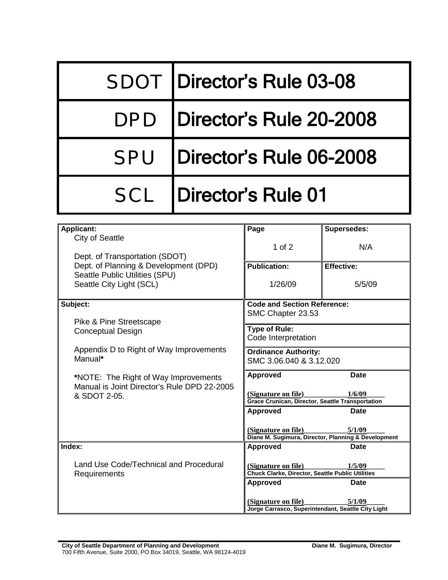| <b>SDOT Director's Rule 03-08</b> |  |
|-----------------------------------|--|
| DPD   Director's Rule 20-2008     |  |
| SPU   Director's Rule 06-2008     |  |
| <b>SCL</b>   Director's Rule 01   |  |

| <b>Applicant:</b>                                  | Page                                                                              | <b>Supersedes:</b> |  |
|----------------------------------------------------|-----------------------------------------------------------------------------------|--------------------|--|
| <b>City of Seattle</b>                             |                                                                                   |                    |  |
|                                                    | $1$ of $2$                                                                        | N/A                |  |
| Dept. of Transportation (SDOT)                     |                                                                                   |                    |  |
| Dept. of Planning & Development (DPD)              | <b>Publication:</b>                                                               | <b>Effective:</b>  |  |
| Seattle Public Utilities (SPU)                     |                                                                                   |                    |  |
| Seattle City Light (SCL)                           | 1/26/09                                                                           | 5/5/09             |  |
|                                                    |                                                                                   |                    |  |
| Subject:                                           | <b>Code and Section Reference:</b>                                                |                    |  |
|                                                    | SMC Chapter 23.53                                                                 |                    |  |
| Pike & Pine Streetscape                            | <b>Type of Rule:</b>                                                              |                    |  |
| Conceptual Design                                  | Code Interpretation                                                               |                    |  |
|                                                    |                                                                                   |                    |  |
| Appendix D to Right of Way Improvements<br>Manual* | <b>Ordinance Authority:</b>                                                       |                    |  |
|                                                    | SMC 3.06.040 & 3.12.020                                                           |                    |  |
| *NOTE: The Right of Way Improvements               | Approved                                                                          | <b>Date</b>        |  |
| Manual is Joint Director's Rule DPD 22-2005        |                                                                                   |                    |  |
| & SDOT 2-05.                                       | (Signature on file)                                                               | 1/6/09             |  |
|                                                    | <b>Grace Crunican, Director, Seattle Transportation</b>                           |                    |  |
|                                                    | <b>Approved</b>                                                                   | <b>Date</b>        |  |
|                                                    |                                                                                   |                    |  |
|                                                    | (Signature on file)                                                               | 5/1/09             |  |
|                                                    | Diane M. Sugimura, Director, Planning & Development                               |                    |  |
| Index:                                             | <b>Approved</b>                                                                   | Date               |  |
| Land Use Code/Technical and Procedural             |                                                                                   |                    |  |
| Requirements                                       | (Signature on file)<br>1/5/09<br>Chuck Clarke, Director, Seattle Public Utilities |                    |  |
|                                                    | <b>Approved</b>                                                                   | Date               |  |
|                                                    |                                                                                   |                    |  |
|                                                    | (Signature on file)                                                               | 5/1/09             |  |
|                                                    | Jorge Carrasco, Superintendant, Seattle City Light                                |                    |  |